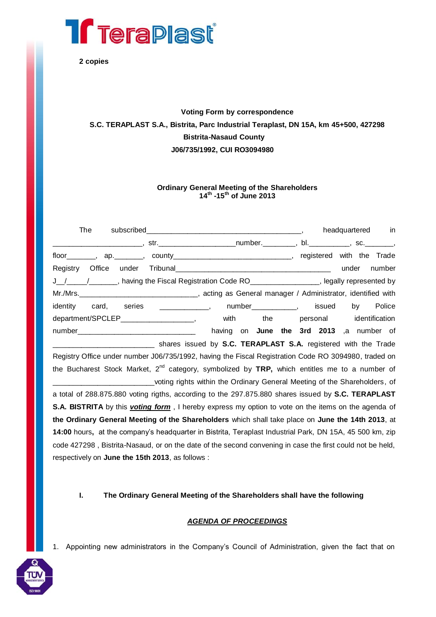

**2 copies**

## **Voting Form by correspondence S.C. TERAPLAST S.A., Bistrita, Parc Industrial Teraplast, DN 15A, km 45+500, 427298 Bistrita-Nasaud County J06/735/1992, CUI RO3094980**

## **Ordinary General Meeting of the Shareholders 14th -15th of June 2013**

| <b>The</b> |                                                                                                                     |  | headquartered in                         |
|------------|---------------------------------------------------------------------------------------------------------------------|--|------------------------------------------|
|            | _____________________________,str.___________________________number.___________,bl._________________,sc.___________ |  |                                          |
|            | floor________, ap._______, county_______________________________, registered with the Trade                         |  |                                          |
|            |                                                                                                                     |  | under number                             |
|            | J_/___/____/_____, having the Fiscal Registration Code RO_______________, legally represented by                    |  |                                          |
|            |                                                                                                                     |  |                                          |
|            | identity card, series ____________, number__________, issued by Police                                              |  |                                          |
|            | department/SPCLEP_____________________, with the personal identification                                            |  |                                          |
|            |                                                                                                                     |  | having on June the 3rd 2013 ,a number of |
|            | shares issued by <b>S.C. TERAPLAST S.A.</b> registered with the Trade                                               |  |                                          |
|            | Registry Office under number J06/735/1992, having the Fiscal Registration Code RO 3094980, traded on                |  |                                          |
|            | the Bucharest Stock Market, 2 <sup>nd</sup> category, symbolized by TRP, which entitles me to a number of           |  |                                          |

voting rights within the Ordinary General Meeting of the Shareholders, of a total of 288.875.880 voting rigths, according to the 297.875.880 shares issued by **S.C. TERAPLAST S.A. BISTRITA** by this *voting form*, I hereby express my option to vote on the items on the agenda of **the Ordinary General Meeting of the Shareholders** which shall take place on **June the 14th 2013**, at **14:00** hours**,** at the company's headquarter in Bistrita, Teraplast Industrial Park, DN 15A, 45 500 km, zip code 427298 , Bistrita-Nasaud, or on the date of the second convening in case the first could not be held, respectively on **June the 15th 2013**, as follows :

**I. The Ordinary General Meeting of the Shareholders shall have the following**

## *AGENDA OF PROCEEDINGS*

1. Appointing new administrators in the Company's Council of Administration, given the fact that on

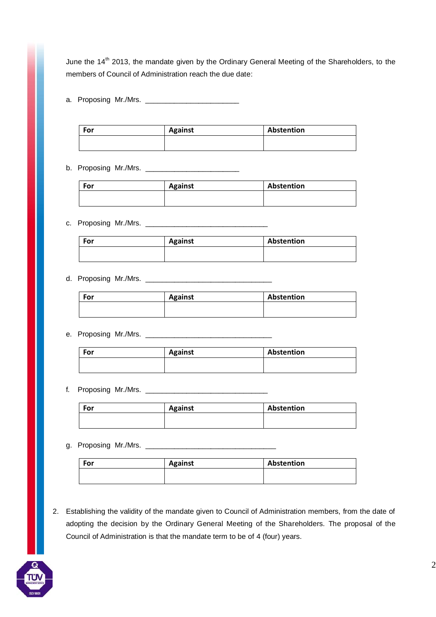June the 14<sup>th</sup> 2013, the mandate given by the Ordinary General Meeting of the Shareholders, to the members of Council of Administration reach the due date:

a. Proposing Mr./Mrs. \_\_\_\_\_\_\_\_\_\_\_\_\_\_\_\_\_\_\_\_\_\_\_

| For | <b>Against</b> | Abstention |
|-----|----------------|------------|
|     |                |            |

b. Proposing Mr./Mrs. \_\_\_\_\_\_\_\_\_\_\_\_\_\_\_\_\_\_\_\_\_\_\_

| For | <b>Against</b> | Abstention |
|-----|----------------|------------|
|     |                |            |
|     |                |            |

c. Proposing Mr./Mrs. \_\_\_\_\_\_\_\_\_\_\_\_\_\_\_\_\_\_\_\_\_\_\_\_\_\_\_\_\_\_

| For | <b>Against</b> | Abstention |
|-----|----------------|------------|
|     |                |            |

## d. Proposing Mr./Mrs. \_\_\_\_\_\_\_\_\_\_\_\_\_\_\_\_\_\_\_\_\_\_\_\_\_\_\_\_\_\_\_

| For | <b>Against</b> | Abstention |
|-----|----------------|------------|
|     |                |            |
|     |                |            |

e. Proposing Mr./Mrs. \_\_\_\_\_\_\_\_\_\_\_\_\_\_\_\_\_\_\_\_\_\_\_\_\_\_\_\_\_\_\_

| For | <b>Against</b> | Abstention |
|-----|----------------|------------|
|     |                |            |
|     |                |            |

f. Proposing Mr./Mrs. \_\_\_\_\_\_\_\_\_\_\_\_\_\_\_\_\_\_\_\_\_\_\_\_\_\_\_\_\_\_

| For | <b>Against</b> | Abstention |
|-----|----------------|------------|
|     |                |            |

g. Proposing Mr./Mrs. \_\_\_\_\_\_\_\_\_\_\_\_\_\_\_\_\_\_\_\_\_\_\_\_\_\_\_\_\_\_\_\_

| For | <b>Against</b> | Abstention |
|-----|----------------|------------|
|     |                |            |

2. Establishing the validity of the mandate given to Council of Administration members, from the date of adopting the decision by the Ordinary General Meeting of the Shareholders. The proposal of the Council of Administration is that the mandate term to be of 4 (four) years.

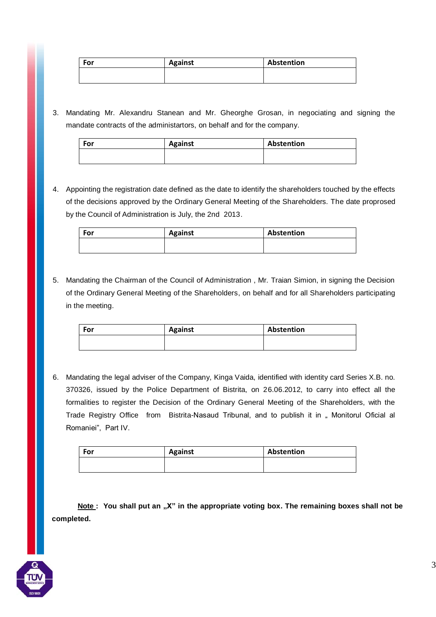| For | <b>Against</b> | Abstention |
|-----|----------------|------------|
|     |                |            |

3. Mandating Mr. Alexandru Stanean and Mr. Gheorghe Grosan, in negociating and signing the mandate contracts of the administartors, on behalf and for the company.

| For | <b>Against</b> | Abstention |
|-----|----------------|------------|
|     |                |            |

4. Appointing the registration date defined as the date to identify the shareholders touched by the effects of the decisions approved by the Ordinary General Meeting of the Shareholders. The date proprosed by the Council of Administration is July, the 2nd 2013.

| For | <b>Against</b> | Abstention |
|-----|----------------|------------|
|     |                |            |

5. Mandating the Chairman of the Council of Administration , Mr. Traian Simion, in signing the Decision of the Ordinary General Meeting of the Shareholders, on behalf and for all Shareholders participating in the meeting.

| For | Against | Abstention |
|-----|---------|------------|
|     |         |            |

6. Mandating the legal adviser of the Company, Kinga Vaida, identified with identity card Series X.B. no. 370326, issued by the Police Department of Bistrita, on 26.06.2012, to carry into effect all the formalities to register the Decision of the Ordinary General Meeting of the Shareholders, with the Trade Registry Office from Bistrita-Nasaud Tribunal, and to publish it in " Monitorul Oficial al Romaniei", Part IV.

| For | <b>Against</b> | Abstention |
|-----|----------------|------------|
|     |                |            |

**Note** : You shall put an "X" in the appropriate voting box. The remaining boxes shall not be **completed.**